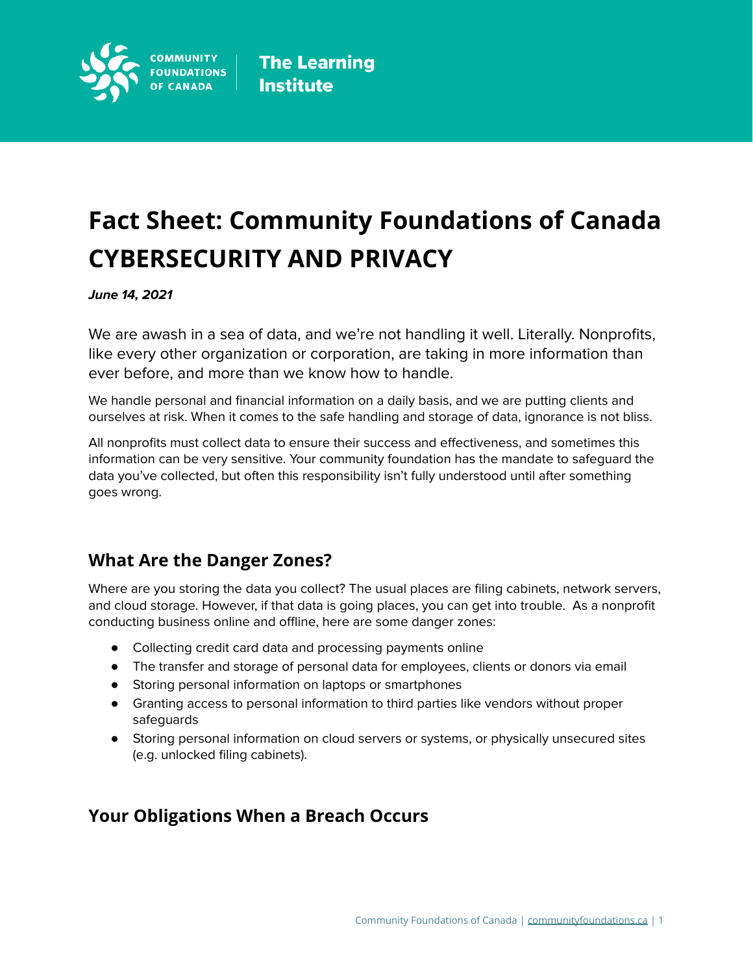

# **Fact Sheet: Community Foundations of Canada CYBERSECURITY AND PRIVACY**

### **June 14, 2021**

We are awash in a sea of data, and we're not handling it well. Literally. Nonprofits, like every other organization or corporation, are taking in more information than ever before, and more than we know how to handle.

We handle personal and financial information on a daily basis, and we are putting clients and ourselves at risk. When it comes to the safe handling and storage of data, ignorance is not bliss.

All nonprofits must collect data to ensure their success and effectiveness, and sometimes this information can be very sensitive. Your community foundation has the mandate to safeguard the data you've collected, but often this responsibility isn't fully understood until after something goes wrong.

### **What Are the Danger Zones?**

Where are you storing the data you collect? The usual places are filing cabinets, network servers, and cloud storage. However, if that data is going places, you can get into trouble. As a nonprofit conducting business online and offline, here are some danger zones:

- Collecting credit card data and processing payments online
- The transfer and storage of personal data for employees, clients or donors via email
- Storing personal information on laptops or smartphones
- Granting access to personal information to third parties like vendors without proper safeguards
- Storing personal information on cloud servers or systems, or physically unsecured sites (e.g. unlocked filing cabinets).

### **Your Obligations When a Breach Occurs**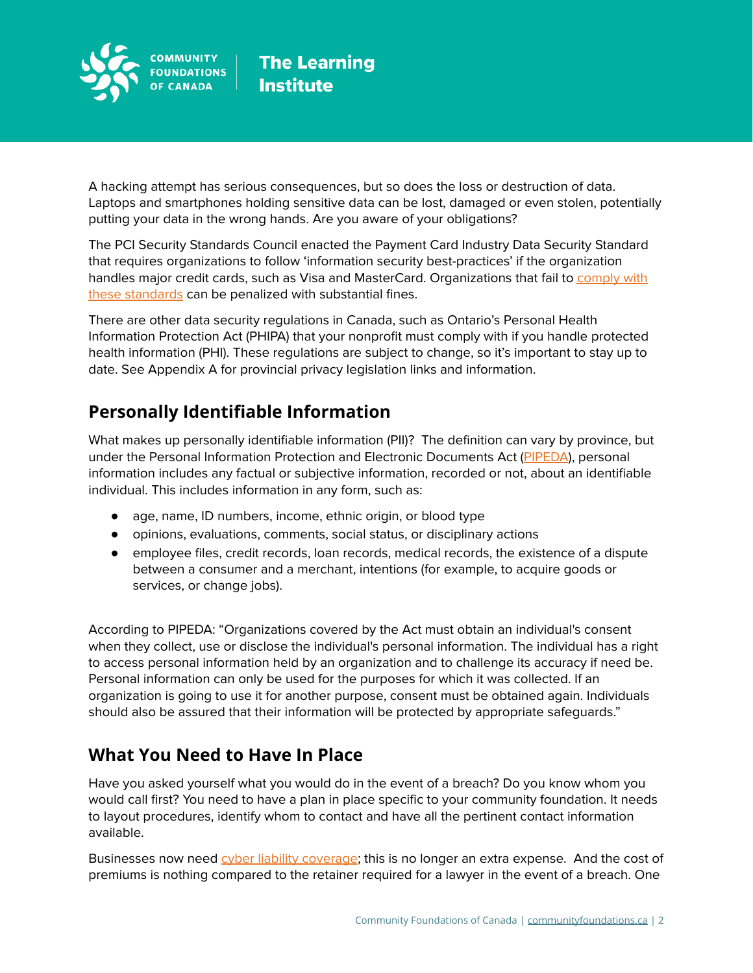

A hacking attempt has serious consequences, but so does the loss or destruction of data. Laptops and smartphones holding sensitive data can be lost, damaged or even stolen, potentially putting your data in the wrong hands. Are you aware of your obligations?

The PCI Security Standards Council enacted the Payment Card Industry Data Security Standard that requires organizations to follow 'information security best-practices' if the organization handles major credit cards, such as Visa and MasterCard. Organizations that fail to [comply](https://www.pcisecuritystandards.org/pci_security/maintaining_payment_security) with these [standards](https://www.pcisecuritystandards.org/pci_security/maintaining_payment_security) can be penalized with substantial fines.

There are other data security regulations in Canada, such as Ontario's Personal Health Information Protection Act (PHIPA) that your nonprofit must comply with if you handle protected health information (PHI). These regulations are subject to change, so it's important to stay up to date. See Appendix A for provincial privacy legislation links and information.

# **Personally Identifiable Information**

What makes up personally identifiable information (PII)? The definition can vary by province, but under the Personal Information Protection and Electronic Documents Act [\(PIPEDA](https://www.priv.gc.ca/leg_c/r_o_p_e.asp)), personal information includes any factual or subjective information, recorded or not, about an identifiable individual. This includes information in any form, such as:

- age, name, ID numbers, income, ethnic origin, or blood type
- opinions, evaluations, comments, social status, or disciplinary actions
- employee files, credit records, loan records, medical records, the existence of a dispute between a consumer and a merchant, intentions (for example, to acquire goods or services, or change jobs).

According to PIPEDA: "Organizations covered by the Act must obtain an individual's consent when they collect, use or disclose the individual's personal information. The individual has a right to access personal information held by an organization and to challenge its accuracy if need be. Personal information can only be used for the purposes for which it was collected. If an organization is going to use it for another purpose, consent must be obtained again. Individuals should also be assured that their information will be protected by appropriate safeguards."

# **What You Need to Have In Place**

Have you asked yourself what you would do in the event of a breach? Do you know whom you would call first? You need to have a plan in place specific to your community foundation. It needs to layout procedures, identify whom to contact and have all the pertinent contact information available.

Businesses now need cyber liability [coverage;](http://www.computerweekly.com/news/2240202703/An-introduction-to-cyber-liability-insurance-cover) this is no longer an extra expense. And the cost of premiums is nothing compared to the retainer required for a lawyer in the event of a breach. One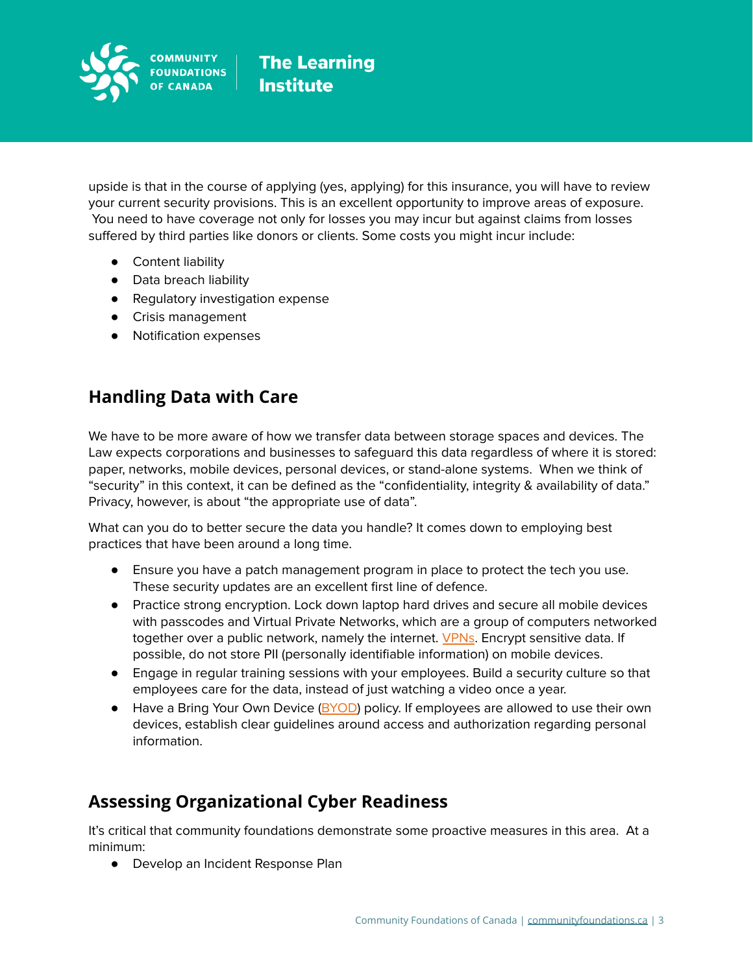

upside is that in the course of applying (yes, applying) for this insurance, you will have to review your current security provisions. This is an excellent opportunity to improve areas of exposure. You need to have coverage not only for losses you may incur but against claims from losses suffered by third parties like donors or clients. Some costs you might incur include:

- Content liability
- Data breach liability
- Regulatory investigation expense
- Crisis management
- Notification expenses

### **Handling Data with Care**

We have to be more aware of how we transfer data between storage spaces and devices. The Law expects corporations and businesses to safeguard this data regardless of where it is stored: paper, networks, mobile devices, personal devices, or stand-alone systems. When we think of "security" in this context, it can be defined as the "confidentiality, integrity & availability of data." Privacy, however, is about "the appropriate use of data".

What can you do to better secure the data you handle? It comes down to employing best practices that have been around a long time.

- Ensure you have a patch management program in place to protect the tech you use. These security updates are an excellent first line of defence.
- Practice strong encryption. Lock down laptop hard drives and secure all mobile devices with passcodes and Virtual Private Networks, which are a group of computers networked together over a public network, namely the internet. [VPNs](http://lifehacker.com/5940565/why-you-should-start-using-a-vpn-and-how-to-choose-the-best-one-for-your-needs). Encrypt sensitive data. If possible, do not store PII (personally identifiable information) on mobile devices.
- Engage in regular training sessions with your employees. Build a security culture so that employees care for the data, instead of just watching a video once a year.
- Have a Bring Your Own Device [\(BYOD\)](http://www.itmanagerdaily.com/byod-policy-template/) policy. If employees are allowed to use their own devices, establish clear guidelines around access and authorization regarding personal information.

# **Assessing Organizational Cyber Readiness**

It's critical that community foundations demonstrate some proactive measures in this area. At a minimum:

● Develop an Incident Response Plan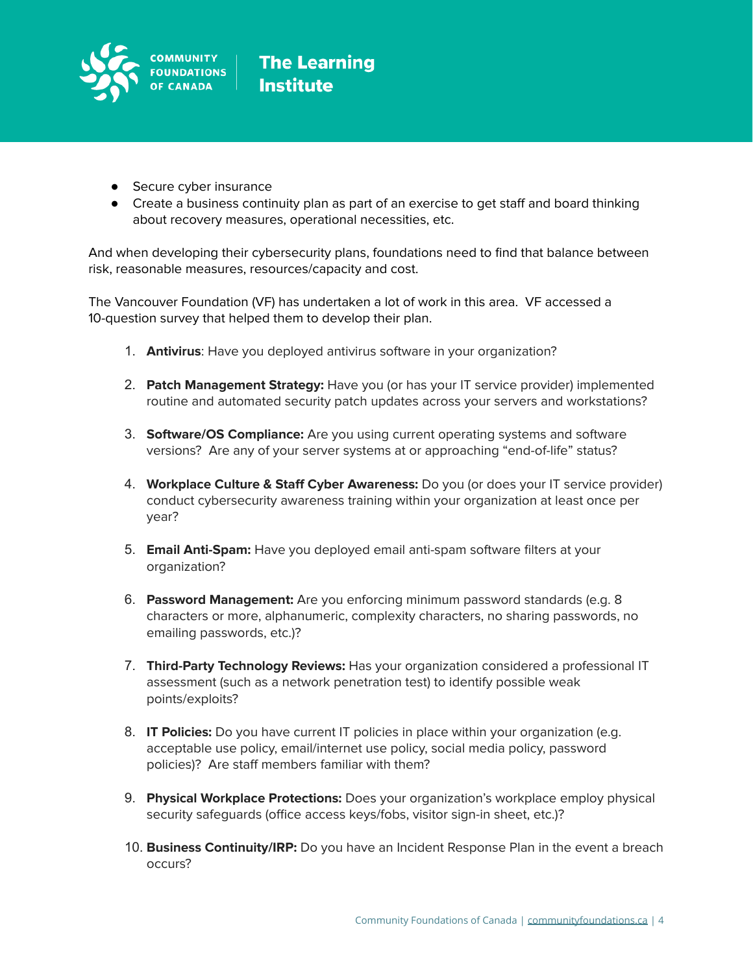

- Secure cyber insurance
- Create a business continuity plan as part of an exercise to get staff and board thinking about recovery measures, operational necessities, etc.

And when developing their cybersecurity plans, foundations need to find that balance between risk, reasonable measures, resources/capacity and cost.

The Vancouver Foundation (VF) has undertaken a lot of work in this area. VF accessed a 10-question survey that helped them to develop their plan.

- 1. **Antivirus**: Have you deployed antivirus software in your organization?
- 2. **Patch Management Strategy:** Have you (or has your IT service provider) implemented routine and automated security patch updates across your servers and workstations?
- 3. **Software/OS Compliance:** Are you using current operating systems and software versions? Are any of your server systems at or approaching "end-of-life" status?
- 4. **Workplace Culture & Staff Cyber Awareness:** Do you (or does your IT service provider) conduct cybersecurity awareness training within your organization at least once per year?
- 5. **Email Anti-Spam:** Have you deployed email anti-spam software filters at your organization?
- 6. **Password Management:** Are you enforcing minimum password standards (e.g. 8 characters or more, alphanumeric, complexity characters, no sharing passwords, no emailing passwords, etc.)?
- 7. **Third-Party Technology Reviews:** Has your organization considered a professional IT assessment (such as a network penetration test) to identify possible weak points/exploits?
- 8. **IT Policies:** Do you have current IT policies in place within your organization (e.g. acceptable use policy, email/internet use policy, social media policy, password policies)? Are staff members familiar with them?
- 9. **Physical Workplace Protections:** Does your organization's workplace employ physical security safeguards (office access keys/fobs, visitor sign-in sheet, etc.)?
- 10. **Business Continuity/IRP:** Do you have an Incident Response Plan in the event a breach occurs?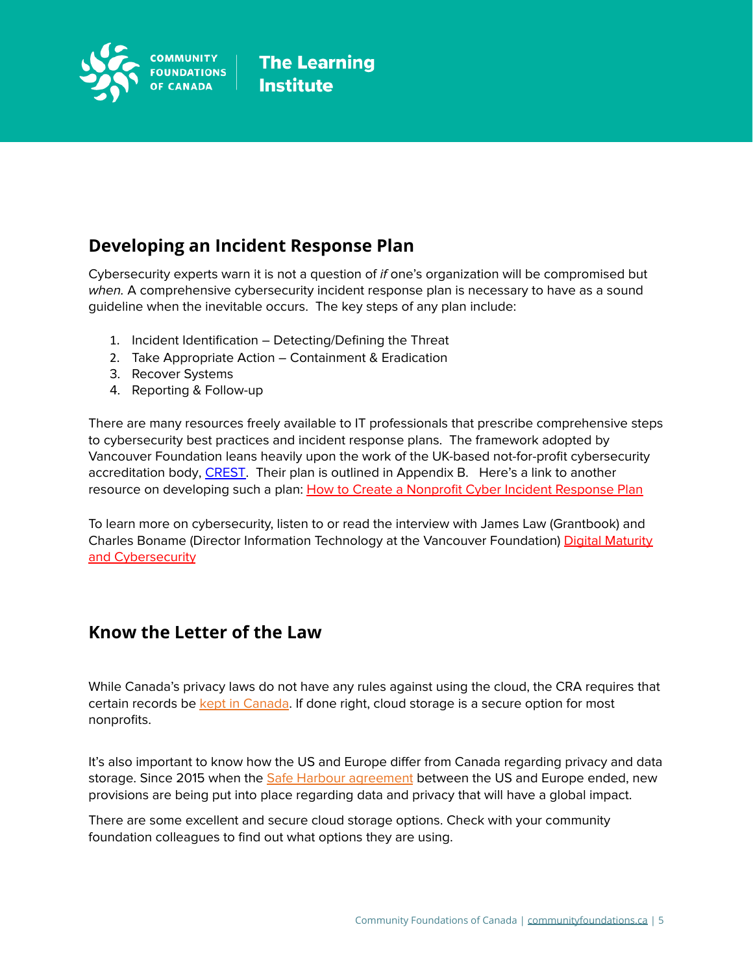

# **Developing an Incident Response Plan**

Cybersecurity experts warn it is not a question of if one's organization will be compromised but when. A comprehensive cybersecurity incident response plan is necessary to have as a sound guideline when the inevitable occurs. The key steps of any plan include:

- 1. Incident Identification Detecting/Defining the Threat
- 2. Take Appropriate Action Containment & Eradication
- 3. Recover Systems
- 4. Reporting & Follow-up

There are many resources freely available to IT professionals that prescribe comprehensive steps to cybersecurity best practices and incident response plans. The framework adopted by Vancouver Foundation leans heavily upon the work of the UK-based not-for-profit cybersecurity accreditation body, [CREST.](https://www.crest-approved.org/) Their plan is outlined in Appendix B. Here's a link to another resource on developing such a plan: How to Create a Nonprofit Cyber Incident [Response](https://communityit.com/how-to-create-a-nonprofit-incident-response-plan/) Plan

To learn more on cybersecurity, listen to or read the interview with James Law (Grantbook) and Charles Boname (Director Information Technology at the Vancouver Foundation) Digital [Maturity](https://www.grantbook.org/blog/digital-maturity-and-cybersecurity-charles-boname?utm_source=More+Good&utm_campaign=bf75edd3e0-EMAIL_CAMPAIGN_2020_04_29_08_01_COPY_01&utm_medium=email&utm_term=0_faab9bed2e-bf75edd3e0-544580214) and [Cybersecurity](https://www.grantbook.org/blog/digital-maturity-and-cybersecurity-charles-boname?utm_source=More+Good&utm_campaign=bf75edd3e0-EMAIL_CAMPAIGN_2020_04_29_08_01_COPY_01&utm_medium=email&utm_term=0_faab9bed2e-bf75edd3e0-544580214)

### **Know the Letter of the Law**

While Canada's privacy laws do not have any rules against using the cloud, the CRA requires that certain records be kept in [Canada](http://www.cra-arc.gc.ca/records/). If done right, cloud storage is a secure option for most nonprofits.

It's also important to know how the US and Europe differ from Canada regarding privacy and data storage. Since 2015 when the Safe Harbour [agreement](http://europa.eu/rapid/press-release_IP-16-216_en.htm) between the US and Europe ended, new provisions are being put into place regarding data and privacy that will have a global impact.

There are some excellent and secure cloud storage options. Check with your community foundation colleagues to find out what options they are using.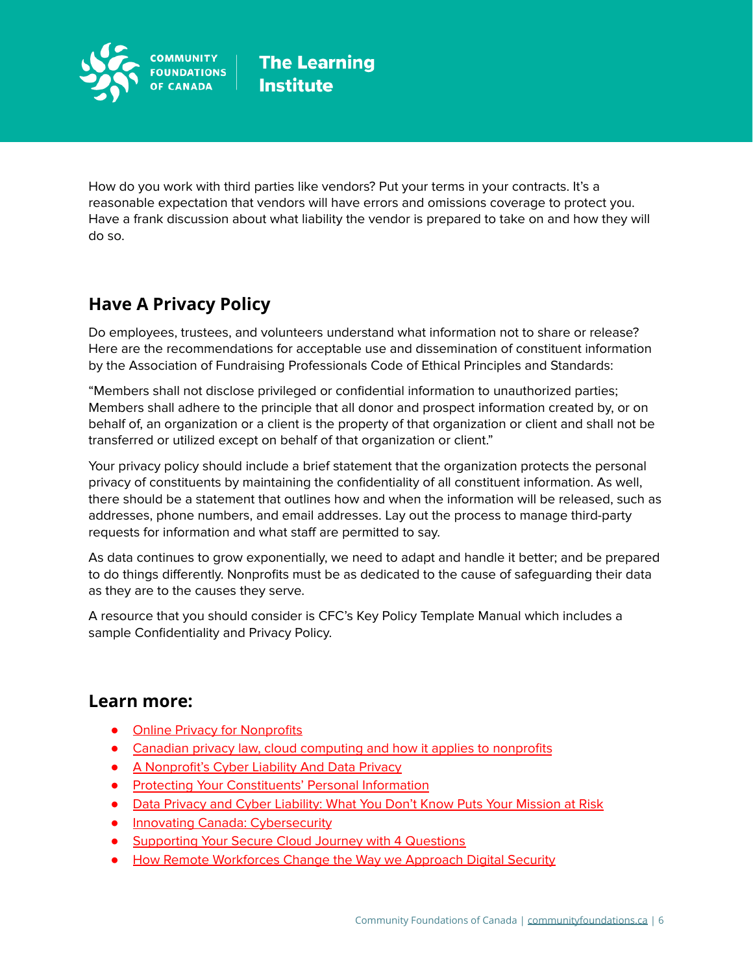

How do you work with third parties like vendors? Put your terms in your contracts. It's a reasonable expectation that vendors will have errors and omissions coverage to protect you. Have a frank discussion about what liability the vendor is prepared to take on and how they will do so.

# **Have A Privacy Policy**

Do employees, trustees, and volunteers understand what information not to share or release? Here are the recommendations for acceptable use and dissemination of constituent information by the Association of Fundraising Professionals Code of Ethical Principles and Standards:

"Members shall not disclose privileged or confidential information to unauthorized parties; Members shall adhere to the principle that all donor and prospect information created by, or on behalf of, an organization or a client is the property of that organization or client and shall not be transferred or utilized except on behalf of that organization or client."

Your privacy policy should include a brief statement that the organization protects the personal privacy of constituents by maintaining the confidentiality of all constituent information. As well, there should be a statement that outlines how and when the information will be released, such as addresses, phone numbers, and email addresses. Lay out the process to manage third-party requests for information and what staff are permitted to say.

As data continues to grow exponentially, we need to adapt and handle it better; and be prepared to do things differently. Nonprofits must be as dedicated to the cause of safeguarding their data as they are to the causes they serve.

A resource that you should consider is CFC's Key Policy Template Manual which includes a sample Confidentiality and Privacy Policy.

### **Learn more:**

- Online Privacy for [Nonprofits](https://www.privacyrights.org/online-privacy-nonprofits)
- Canadian privacy law, cloud [computing](https://www.techsoupcanada.ca/en/community/blog/cloud_privacy_law) and how it applies to nonprofits
- A [Nonprofit's](http://www.thenonprofittimes.com/news-articles/a-nonprofits-cyber-liability-and-data-privacy/) Cyber Liability And Data Privacy
- Protecting Your [Constituents'](https://www.blackbaud.ca/files/resources/downloads/WhitePaper_ProtectingYourConstituentsPersonalInformation.pdf) Personal Information
- Data Privacy and Cyber [Liability:](https://www.nonprofitrisk.org/library/articles/Data%20Privacy%20and%20Cyber%20Liability%20What%20You%20Dont%20Know%20Puts%20Your%20Mission%20at%20Risk.shtml) What You Don't Know Puts Your Mission at Risk
- **Innovating Canada: [Cybersecurity](https://www.innovatingcanada.ca/technology/cybersecurity/?utm_source=newsletter&utm_medium=social)**
- [Supporting](https://www.innovatingcanada.ca/technology/supporting-your-secure-cloud-journey-with-4-questions/) Your Secure Cloud Journey with 4 Questions
- How Remote [Workforces](https://www.innovatingcanada.ca/technology/how-remote-workforces-change-the-way-we-approach-digital-security/) Change the Way we Approach Digital Security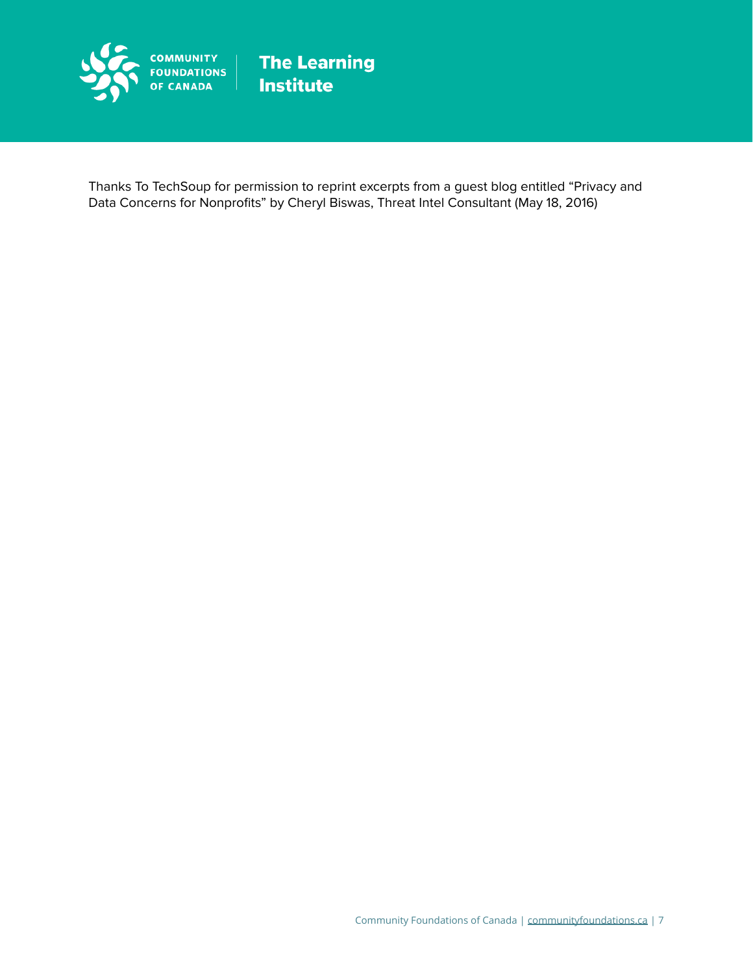

Thanks To TechSoup for permission to reprint excerpts from a guest blog entitled "Privacy and Data Concerns for Nonprofits" by Cheryl Biswas, Threat Intel Consultant (May 18, 2016)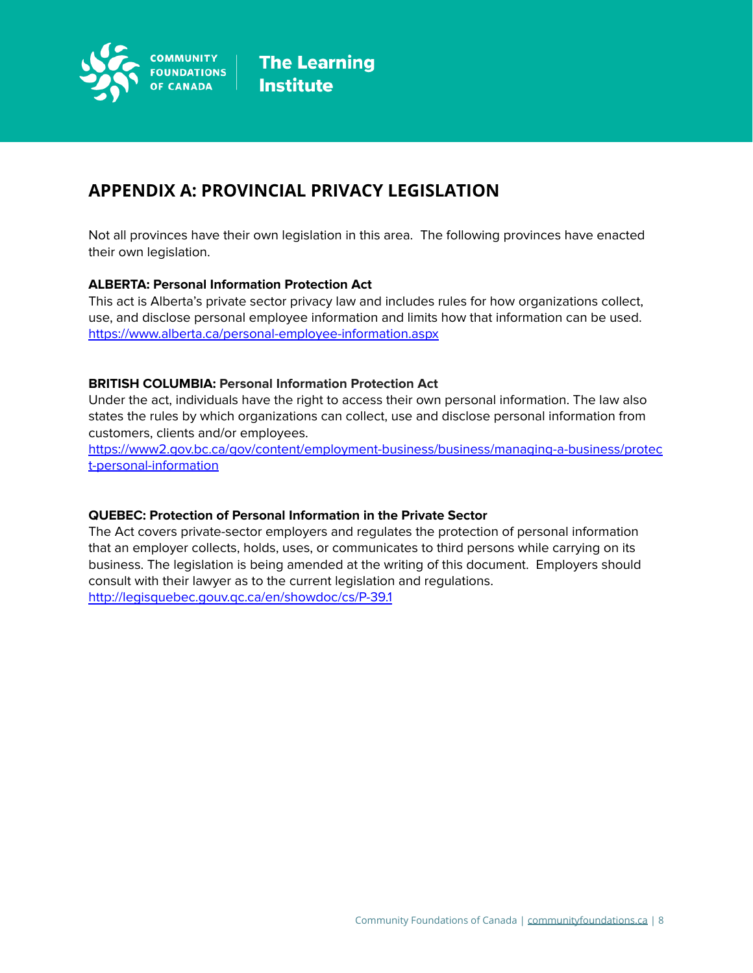

### **APPENDIX A: PROVINCIAL PRIVACY LEGISLATION**

Not all provinces have their own legislation in this area. The following provinces have enacted their own legislation.

### **ALBERTA: Personal Information Protection Act**

This act is Alberta's private sector privacy law and includes rules for how organizations collect, use, and disclose personal employee information and limits how that information can be used. <https://www.alberta.ca/personal-employee-information.aspx>

### **BRITISH COLUMBIA: Personal Information Protection Act**

Under the act, individuals have the right to access their own personal information. The law also states the rules by which organizations can collect, use and disclose personal information from customers, clients and/or employees.

[https://www2.gov.bc.ca/gov/content/employment-business/business/managing-a-business/protec](https://www2.gov.bc.ca/gov/content/employment-business/business/managing-a-business/protect-personal-information) [t-personal-information](https://www2.gov.bc.ca/gov/content/employment-business/business/managing-a-business/protect-personal-information)

### **QUEBEC: Protection of Personal Information in the Private Sector**

The Act covers private-sector employers and regulates the protection of personal information that an employer collects, holds, uses, or communicates to third persons while carrying on its business. The legislation is being amended at the writing of this document. Employers should consult with their lawyer as to the current legislation and regulations.

<http://legisquebec.gouv.qc.ca/en/showdoc/cs/P-39.1>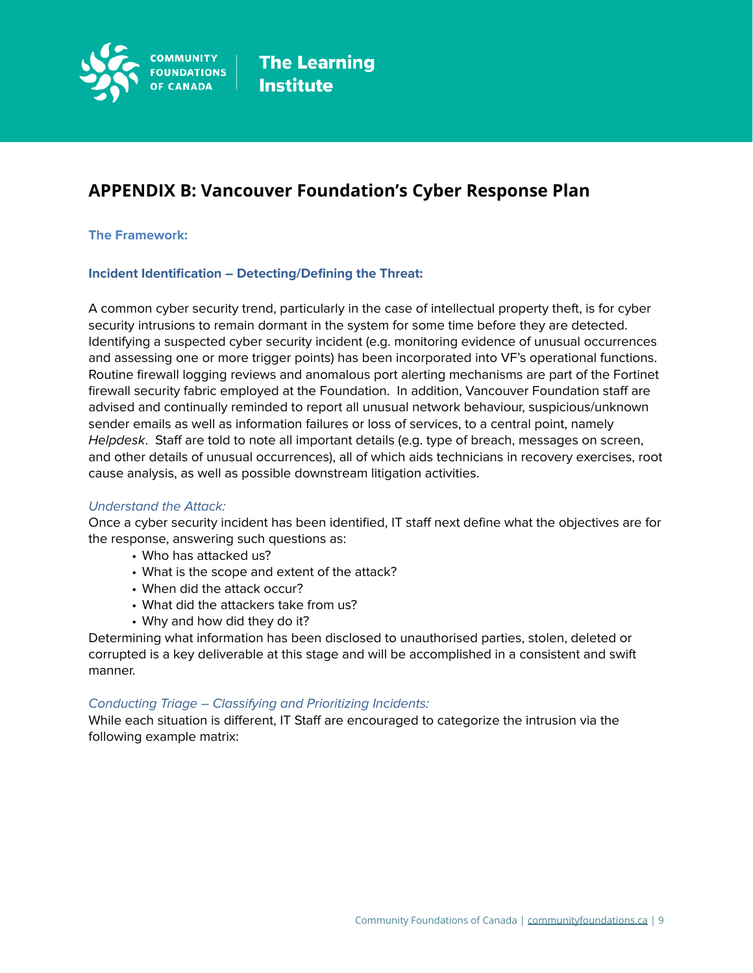

### **APPENDIX B: Vancouver Foundation's Cyber Response Plan**

### **The Framework:**

### **Incident Identification – Detecting/Defining the Threat:**

A common cyber security trend, particularly in the case of intellectual property theft, is for cyber security intrusions to remain dormant in the system for some time before they are detected. Identifying a suspected cyber security incident (e.g. monitoring evidence of unusual occurrences and assessing one or more trigger points) has been incorporated into VF's operational functions. Routine firewall logging reviews and anomalous port alerting mechanisms are part of the Fortinet firewall security fabric employed at the Foundation. In addition, Vancouver Foundation staff are advised and continually reminded to report all unusual network behaviour, suspicious/unknown sender emails as well as information failures or loss of services, to a central point, namely Helpdesk. Staff are told to note all important details (e.g. type of breach, messages on screen, and other details of unusual occurrences), all of which aids technicians in recovery exercises, root cause analysis, as well as possible downstream litigation activities.

### Understand the Attack:

Once a cyber security incident has been identified, IT staff next define what the objectives are for the response, answering such questions as:

- Who has attacked us?
- What is the scope and extent of the attack?
- When did the attack occur?
- What did the attackers take from us?
- Why and how did they do it?

Determining what information has been disclosed to unauthorised parties, stolen, deleted or corrupted is a key deliverable at this stage and will be accomplished in a consistent and swift manner.

#### Conducting Triage – Classifying and Prioritizing Incidents:

While each situation is different, IT Staff are encouraged to categorize the intrusion via the following example matrix: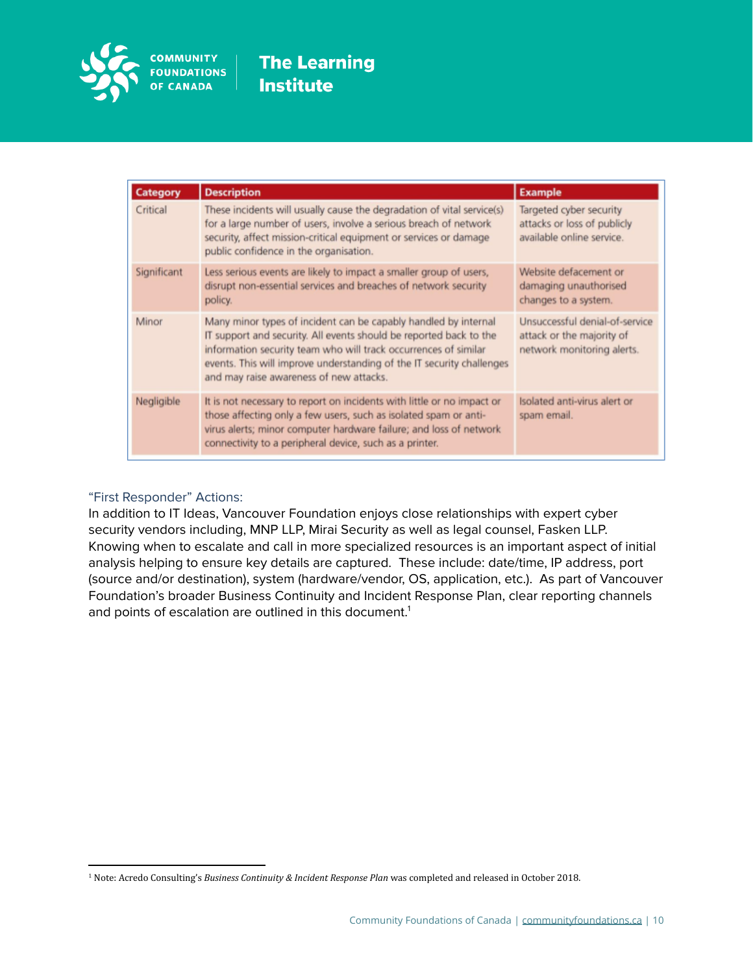

| Category    | <b>Description</b>                                                                                                                                                                                                                                                                                                           | <b>Example</b>                                                                            |
|-------------|------------------------------------------------------------------------------------------------------------------------------------------------------------------------------------------------------------------------------------------------------------------------------------------------------------------------------|-------------------------------------------------------------------------------------------|
| Critical    | These incidents will usually cause the degradation of vital service(s)<br>for a large number of users, involve a serious breach of network<br>security, affect mission-critical equipment or services or damage<br>public confidence in the organisation.                                                                    | Targeted cyber security<br>attacks or loss of publicly<br>available online service.       |
| Significant | Less serious events are likely to impact a smaller group of users,<br>disrupt non-essential services and breaches of network security<br>policy.                                                                                                                                                                             | Website defacement or<br>damaging unauthorised<br>changes to a system.                    |
| Minor       | Many minor types of incident can be capably handled by internal<br>IT support and security. All events should be reported back to the<br>information security team who will track occurrences of similar<br>events. This will improve understanding of the IT security challenges<br>and may raise awareness of new attacks. | Unsuccessful denial-of-service<br>attack or the majority of<br>network monitoring alerts. |
| Negligible  | It is not necessary to report on incidents with little or no impact or<br>those affecting only a few users, such as isolated spam or anti-<br>virus alerts; minor computer hardware failure; and loss of network<br>connectivity to a peripheral device, such as a printer.                                                  | Isolated anti-virus alert or<br>spam email.                                               |

### "First Responder" Actions:

In addition to IT Ideas, Vancouver Foundation enjoys close relationships with expert cyber security vendors including, MNP LLP, Mirai Security as well as legal counsel, Fasken LLP. Knowing when to escalate and call in more specialized resources is an important aspect of initial analysis helping to ensure key details are captured. These include: date/time, IP address, port (source and/or destination), system (hardware/vendor, OS, application, etc.). As part of Vancouver Foundation's broader Business Continuity and Incident Response Plan, clear reporting channels and points of escalation are outlined in this document.<sup>1</sup>

<sup>1</sup> Note: Acredo Consulting's *Business Continuity & Incident Response Plan* was completed and released in October 2018.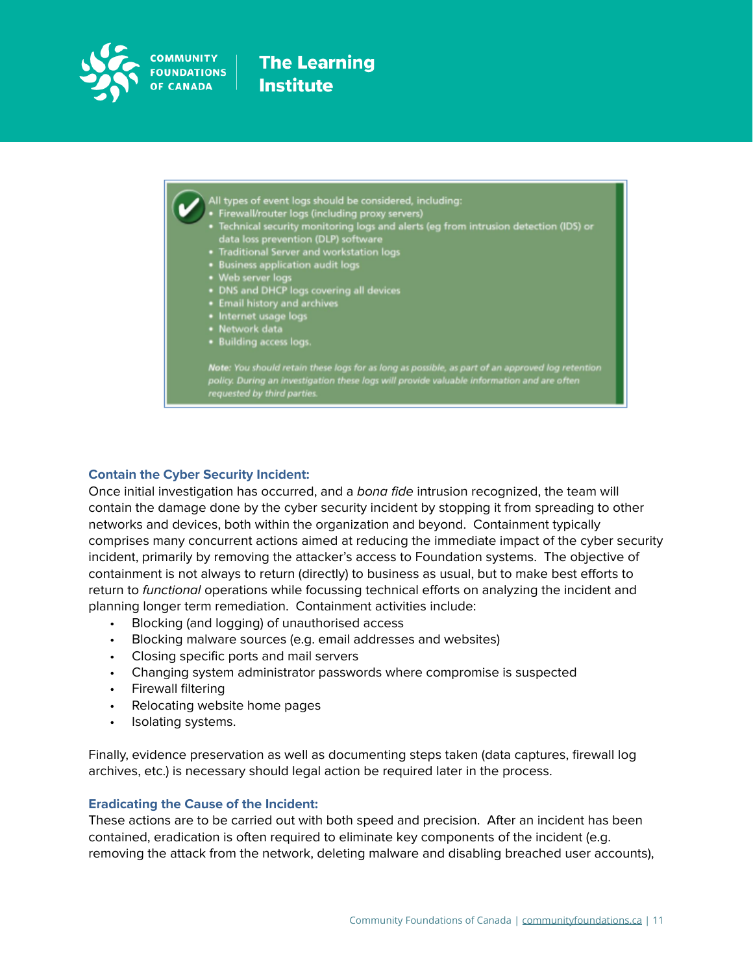

- 
- 
- All types of event logs should be considered, including:<br>• Firewall/router logs (including proxy servers)<br>• Technical security monitoring logs and alerts (eg from intrusion detection (IDS) or<br>data loss prevention (DLP) sof
- 
- 
- 
- 
- **Existence Check** Logs covert
- Email mstory and a<br>• Internet usage logs
- memet asay.<br>• Network data
- · Building access logs.

Note: You should retain these logs for as long as possible, as part of an approved log retention policy. During an investigation these logs will provide valuable information and are often requested by third parties

#### **Contain the Cyber Security Incident:**

Once initial investigation has occurred, and a bona fide intrusion recognized, the team will contain the damage done by the cyber security incident by stopping it from spreading to other networks and devices, both within the organization and beyond. Containment typically comprises many concurrent actions aimed at reducing the immediate impact of the cyber security incident, primarily by removing the attacker's access to Foundation systems. The objective of containment is not always to return (directly) to business as usual, but to make best efforts to return to functional operations while focussing technical efforts on analyzing the incident and planning longer term remediation. Containment activities include:

- Blocking (and logging) of unauthorised access
- Blocking malware sources (e.g. email addresses and websites)
- Closing specific ports and mail servers
- Changing system administrator passwords where compromise is suspected
- Firewall filtering
- Relocating website home pages
- Isolating systems.

Finally, evidence preservation as well as documenting steps taken (data captures, firewall log archives, etc.) is necessary should legal action be required later in the process.

#### **Eradicating the Cause of the Incident:**

These actions are to be carried out with both speed and precision. After an incident has been contained, eradication is often required to eliminate key components of the incident (e.g. removing the attack from the network, deleting malware and disabling breached user accounts),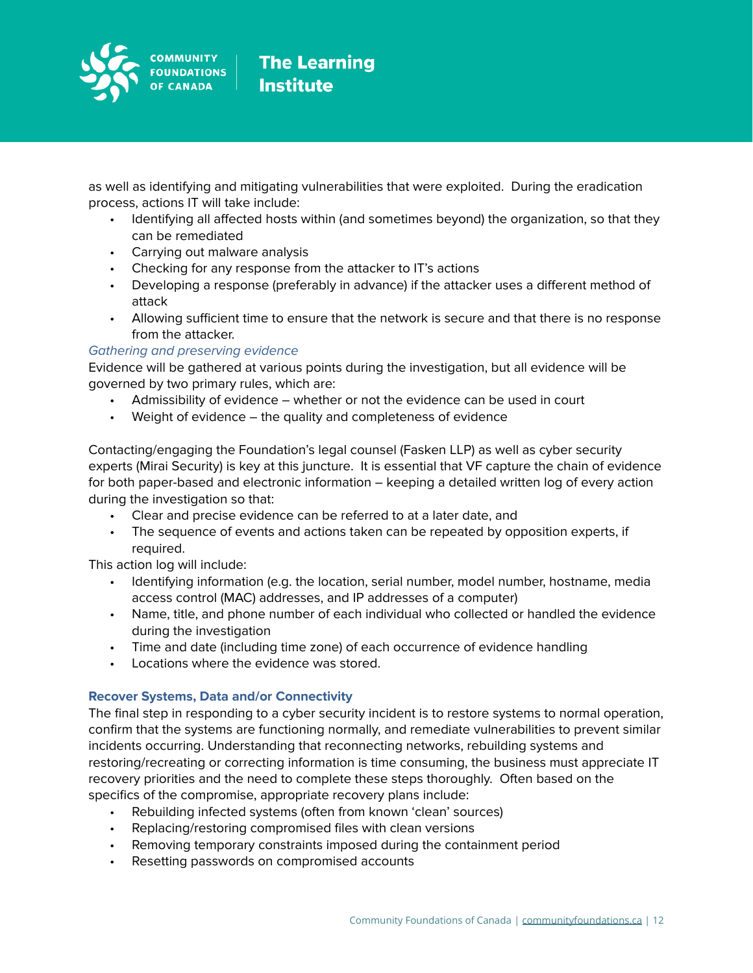

**The Learning Institute** 

as well as identifying and mitigating vulnerabilities that were exploited. During the eradication process, actions IT will take include:

- Identifying all affected hosts within (and sometimes beyond) the organization, so that they can be remediated
- Carrying out malware analysis
- Checking for any response from the attacker to IT's actions
- Developing a response (preferably in advance) if the attacker uses a different method of attack
- Allowing sufficient time to ensure that the network is secure and that there is no response from the attacker.

### Gathering and preserving evidence

Evidence will be gathered at various points during the investigation, but all evidence will be governed by two primary rules, which are:

- Admissibility of evidence whether or not the evidence can be used in court
- Weight of evidence the quality and completeness of evidence

Contacting/engaging the Foundation's legal counsel (Fasken LLP) as well as cyber security experts (Mirai Security) is key at this juncture. It is essential that VF capture the chain of evidence for both paper-based and electronic information – keeping a detailed written log of every action during the investigation so that:

- Clear and precise evidence can be referred to at a later date, and
- The sequence of events and actions taken can be repeated by opposition experts, if required.

This action log will include:

- Identifying information (e.g. the location, serial number, model number, hostname, media access control (MAC) addresses, and IP addresses of a computer)
- Name, title, and phone number of each individual who collected or handled the evidence during the investigation
- Time and date (including time zone) of each occurrence of evidence handling
- Locations where the evidence was stored.

### **Recover Systems, Data and/or Connectivity**

The final step in responding to a cyber security incident is to restore systems to normal operation, confirm that the systems are functioning normally, and remediate vulnerabilities to prevent similar incidents occurring. Understanding that reconnecting networks, rebuilding systems and restoring/recreating or correcting information is time consuming, the business must appreciate IT recovery priorities and the need to complete these steps thoroughly. Often based on the specifics of the compromise, appropriate recovery plans include:

- Rebuilding infected systems (often from known 'clean' sources)
- Replacing/restoring compromised files with clean versions
- Removing temporary constraints imposed during the containment period
- Resetting passwords on compromised accounts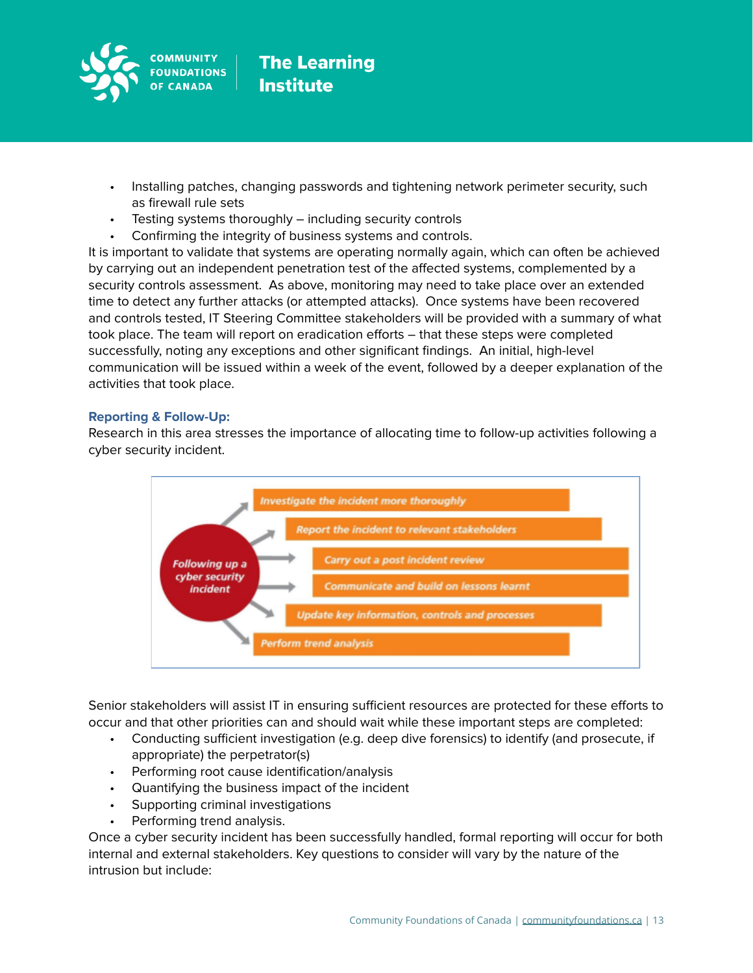

- Installing patches, changing passwords and tightening network perimeter security, such as firewall rule sets
- Testing systems thoroughly including security controls
- Confirming the integrity of business systems and controls.

It is important to validate that systems are operating normally again, which can often be achieved by carrying out an independent penetration test of the affected systems, complemented by a security controls assessment. As above, monitoring may need to take place over an extended time to detect any further attacks (or attempted attacks). Once systems have been recovered and controls tested, IT Steering Committee stakeholders will be provided with a summary of what took place. The team will report on eradication efforts – that these steps were completed successfully, noting any exceptions and other significant findings. An initial, high-level communication will be issued within a week of the event, followed by a deeper explanation of the activities that took place.

### **Reporting & Follow-Up:**

Research in this area stresses the importance of allocating time to follow-up activities following a cyber security incident.



Senior stakeholders will assist IT in ensuring sufficient resources are protected for these efforts to occur and that other priorities can and should wait while these important steps are completed:

- Conducting sufficient investigation (e.g. deep dive forensics) to identify (and prosecute, if appropriate) the perpetrator(s)
- Performing root cause identification/analysis
- Quantifying the business impact of the incident
- Supporting criminal investigations
- Performing trend analysis.

Once a cyber security incident has been successfully handled, formal reporting will occur for both internal and external stakeholders. Key questions to consider will vary by the nature of the intrusion but include: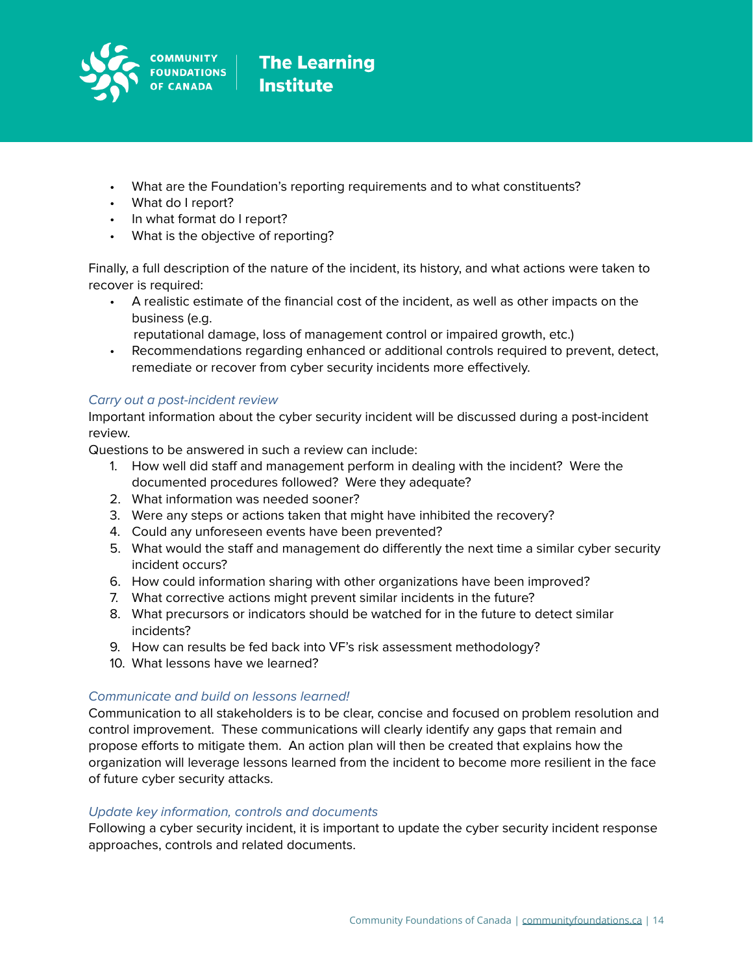

- What are the Foundation's reporting requirements and to what constituents?
- What do I report?
- In what format do I report?
- What is the objective of reporting?

Finally, a full description of the nature of the incident, its history, and what actions were taken to recover is required:

- A realistic estimate of the financial cost of the incident, as well as other impacts on the business (e.g.
	- reputational damage, loss of management control or impaired growth, etc.)
- Recommendations regarding enhanced or additional controls required to prevent, detect, remediate or recover from cyber security incidents more effectively.

### Carry out a post-incident review

Important information about the cyber security incident will be discussed during a post-incident review.

Questions to be answered in such a review can include:

- 1. How well did staff and management perform in dealing with the incident? Were the documented procedures followed? Were they adequate?
- 2. What information was needed sooner?
- 3. Were any steps or actions taken that might have inhibited the recovery?
- 4. Could any unforeseen events have been prevented?
- 5. What would the staff and management do differently the next time a similar cyber security incident occurs?
- 6. How could information sharing with other organizations have been improved?
- 7. What corrective actions might prevent similar incidents in the future?
- 8. What precursors or indicators should be watched for in the future to detect similar incidents?
- 9. How can results be fed back into VF's risk assessment methodology?
- 10. What lessons have we learned?

### Communicate and build on lessons learned!

Communication to all stakeholders is to be clear, concise and focused on problem resolution and control improvement. These communications will clearly identify any gaps that remain and propose efforts to mitigate them. An action plan will then be created that explains how the organization will leverage lessons learned from the incident to become more resilient in the face of future cyber security attacks.

### Update key information, controls and documents

Following a cyber security incident, it is important to update the cyber security incident response approaches, controls and related documents.